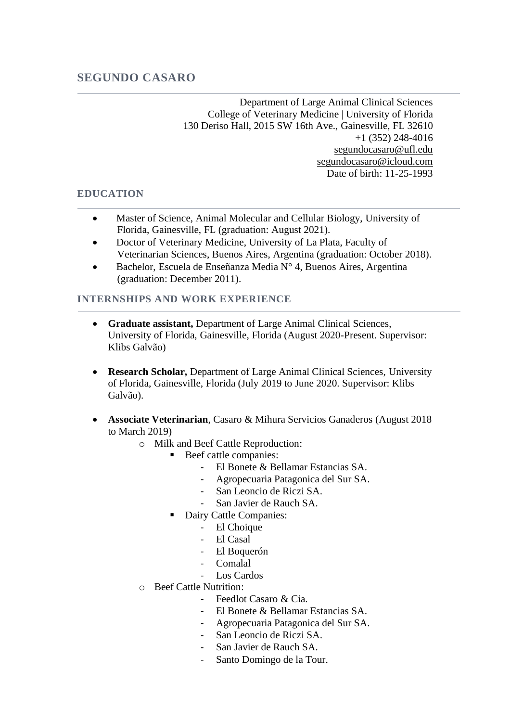Department of Large Animal Clinical Sciences College of Veterinary Medicine | University of Florida 130 Deriso Hall, 2015 SW 16th Ave., Gainesville, FL 32610 +1 (352) 248-4016 [segundocasaro@ufl.edu](mailto:segundocasaro@ufl.edu) segundocasaro@icloud.com Date of birth: 11-25-1993

# **EDUCATION**

- Master of Science, Animal Molecular and Cellular Biology, University of Florida, Gainesville, FL (graduation: August 2021).
- Doctor of Veterinary Medicine, University of La Plata, Faculty of Veterinarian Sciences, Buenos Aires, Argentina (graduation: October 2018).
- Bachelor, Escuela de Enseñanza Media N° 4, Buenos Aires, Argentina (graduation: December 2011).

### **INTERNSHIPS AND WORK EXPERIENCE**

- **Graduate assistant,** Department of Large Animal Clinical Sciences, University of Florida, Gainesville, Florida (August 2020-Present. Supervisor: Klibs Galvão)
- **Research Scholar,** Department of Large Animal Clinical Sciences, University of Florida, Gainesville, Florida (July 2019 to June 2020. Supervisor: Klibs Galvão).
- **Associate Veterinarian**, Casaro & Mihura Servicios Ganaderos (August 2018 to March 2019)
	- o Milk and Beef Cattle Reproduction:
		- Beef cattle companies:
			- El Bonete & Bellamar Estancias SA.
			- Agropecuaria Patagonica del Sur SA.
			- San Leoncio de Riczi SA.
			- San Javier de Rauch SA.
		- Dairy Cattle Companies:
			- El Choique
			- El Casal
			- El Boquerón
			- Comalal
			- Los Cardos
	- o Beef Cattle Nutrition:
		- Feedlot Casaro & Cia.
		- El Bonete & Bellamar Estancias SA.
		- Agropecuaria Patagonica del Sur SA.
		- San Leoncio de Riczi SA.
		- San Javier de Rauch SA.
		- Santo Domingo de la Tour.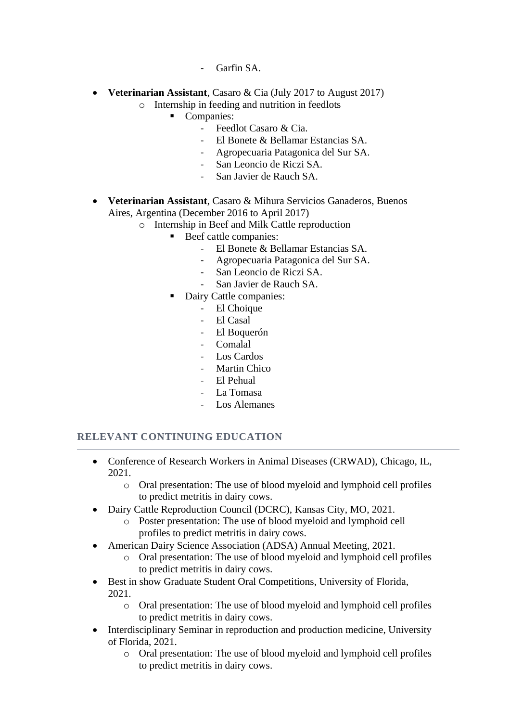- Garfin SA.
- **Veterinarian Assistant**, Casaro & Cia (July 2017 to August 2017)
	- o Internship in feeding and nutrition in feedlots
		- Companies:
			- Feedlot Casaro & Cia.
			- El Bonete & Bellamar Estancias SA.
			- Agropecuaria Patagonica del Sur SA.
			- San Leoncio de Riczi SA.
			- San Javier de Rauch SA.
- **Veterinarian Assistant**, Casaro & Mihura Servicios Ganaderos, Buenos Aires, Argentina (December 2016 to April 2017)
	- o Internship in Beef and Milk Cattle reproduction
		- Beef cattle companies:
			- El Bonete & Bellamar Estancias SA.
			- Agropecuaria Patagonica del Sur SA.
			- San Leoncio de Riczi SA.
			- San Javier de Rauch SA.
			- Dairy Cattle companies:
				- El Choique
				- El Casal
				- El Boquerón
				- Comalal
				- Los Cardos
				- Martin Chico
				- El Pehual
				- La Tomasa
				- Los Alemanes

# **RELEVANT CONTINUING EDUCATION**

- Conference of Research Workers in Animal Diseases (CRWAD), Chicago, IL, 2021.
	- o Oral presentation: The use of blood myeloid and lymphoid cell profiles to predict metritis in dairy cows.
	- Dairy Cattle Reproduction Council (DCRC), Kansas City, MO, 2021.
		- o Poster presentation: The use of blood myeloid and lymphoid cell profiles to predict metritis in dairy cows.
- American Dairy Science Association (ADSA) Annual Meeting, 2021.
	- o Oral presentation: The use of blood myeloid and lymphoid cell profiles to predict metritis in dairy cows.
- Best in show Graduate Student Oral Competitions, University of Florida, 2021.
	- o Oral presentation: The use of blood myeloid and lymphoid cell profiles to predict metritis in dairy cows.
- Interdisciplinary Seminar in reproduction and production medicine, University of Florida, 2021.
	- o Oral presentation: The use of blood myeloid and lymphoid cell profiles to predict metritis in dairy cows.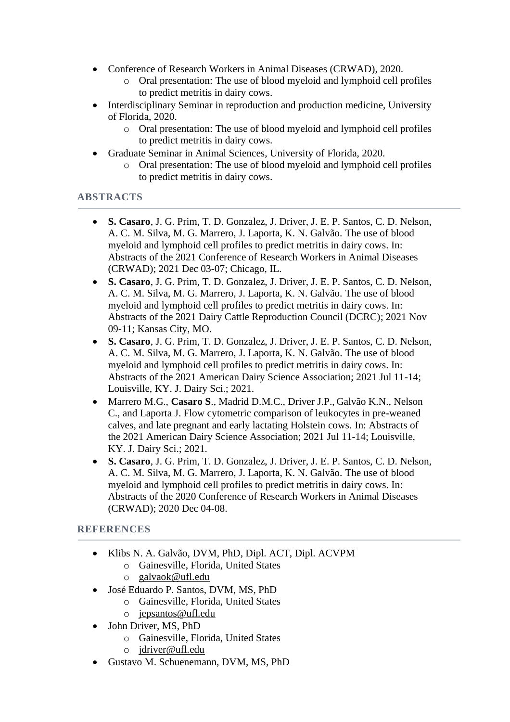- Conference of Research Workers in Animal Diseases (CRWAD), 2020.
	- o Oral presentation: The use of blood myeloid and lymphoid cell profiles to predict metritis in dairy cows.
- Interdisciplinary Seminar in reproduction and production medicine, University of Florida, 2020.
	- o Oral presentation: The use of blood myeloid and lymphoid cell profiles to predict metritis in dairy cows.
- Graduate Seminar in Animal Sciences, University of Florida, 2020.
	- o Oral presentation: The use of blood myeloid and lymphoid cell profiles to predict metritis in dairy cows.

### **ABSTRACTS**

- **S. Casaro**, J. G. Prim, T. D. Gonzalez, J. Driver, J. E. P. Santos, C. D. Nelson, A. C. M. Silva, M. G. Marrero, J. Laporta, K. N. Galvão. The use of blood myeloid and lymphoid cell profiles to predict metritis in dairy cows. In: Abstracts of the 2021 Conference of Research Workers in Animal Diseases (CRWAD); 2021 Dec 03-07; Chicago, IL.
- **S. Casaro**, J. G. Prim, T. D. Gonzalez, J. Driver, J. E. P. Santos, C. D. Nelson, A. C. M. Silva, M. G. Marrero, J. Laporta, K. N. Galvão. The use of blood myeloid and lymphoid cell profiles to predict metritis in dairy cows. In: Abstracts of the 2021 Dairy Cattle Reproduction Council (DCRC); 2021 Nov 09-11; Kansas City, MO.
- **S. Casaro**, J. G. Prim, T. D. Gonzalez, J. Driver, J. E. P. Santos, C. D. Nelson, A. C. M. Silva, M. G. Marrero, J. Laporta, K. N. Galvão. The use of blood myeloid and lymphoid cell profiles to predict metritis in dairy cows. In: Abstracts of the 2021 American Dairy Science Association; 2021 Jul 11-14; Louisville, KY. J. Dairy Sci.; 2021.
- Marrero M.G., **Casaro S**., Madrid D.M.C., Driver J.P., Galvão K.N., Nelson C., and Laporta J. Flow cytometric comparison of leukocytes in pre-weaned calves, and late pregnant and early lactating Holstein cows. In: Abstracts of the 2021 American Dairy Science Association; 2021 Jul 11-14; Louisville, KY. J. Dairy Sci.; 2021.
- **S. Casaro**, J. G. Prim, T. D. Gonzalez, J. Driver, J. E. P. Santos, C. D. Nelson, A. C. M. Silva, M. G. Marrero, J. Laporta, K. N. Galvão. The use of blood myeloid and lymphoid cell profiles to predict metritis in dairy cows. In: Abstracts of the 2020 Conference of Research Workers in Animal Diseases (CRWAD); 2020 Dec 04-08.

### **REFERENCES**

- Klibs N. A. Galvão, DVM, PhD, Dipl. ACT, Dipl. ACVPM
	- o Gainesville, Florida, United States
	- o [galvaok@ufl.edu](mailto:galvaok@ufl.edu)
- José Eduardo P. Santos, DVM, MS, PhD
	- o Gainesville, Florida, United States
	- o [jepsantos@ufl.edu](mailto:jepsantos@ufl.edu)
- John Driver, MS, PhD
	- o Gainesville, Florida, United States
	- o [jdriver@ufl.edu](mailto:jdriver@ufl.edu)
- Gustavo M. Schuenemann, DVM, MS, PhD